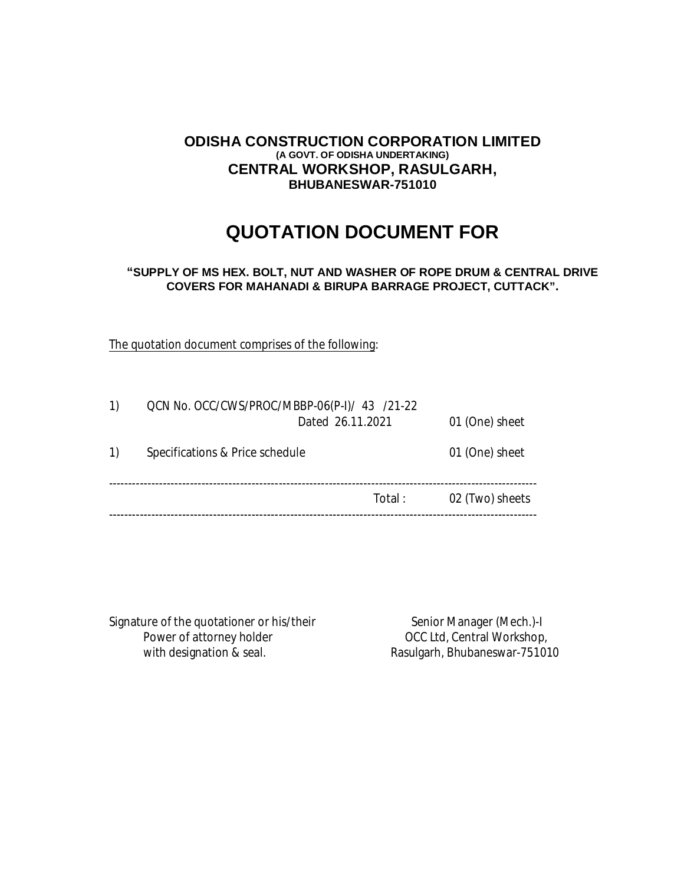## **ODISHA CONSTRUCTION CORPORATION LIMITED (A GOVT. OF ODISHA UNDERTAKING) CENTRAL WORKSHOP, RASULGARH, BHUBANESWAR-751010**

# **QUOTATION DOCUMENT FOR**

## **"SUPPLY OF MS HEX. BOLT, NUT AND WASHER OF ROPE DRUM & CENTRAL DRIVE COVERS FOR MAHANADI & BIRUPA BARRAGE PROJECT, CUTTACK".**

The quotation document comprises of the following:

| 1) | QCN No. OCC/CWS/PROC/MBBP-06(P-I)/ 43 /21-22<br>Dated 26.11.2021 | 01 (One) sheet  |
|----|------------------------------------------------------------------|-----------------|
| 1) | Specifications & Price schedule                                  | 01 (One) sheet  |
|    | Total:                                                           | 02 (Two) sheets |
|    |                                                                  |                 |

Signature of the quotationer or his/their Senior Manager (Mech.)-I Power of attorney holder **DECE 2008** OCC Ltd, Central Workshop,

with designation & seal. The Rasulgarh, Bhubaneswar-751010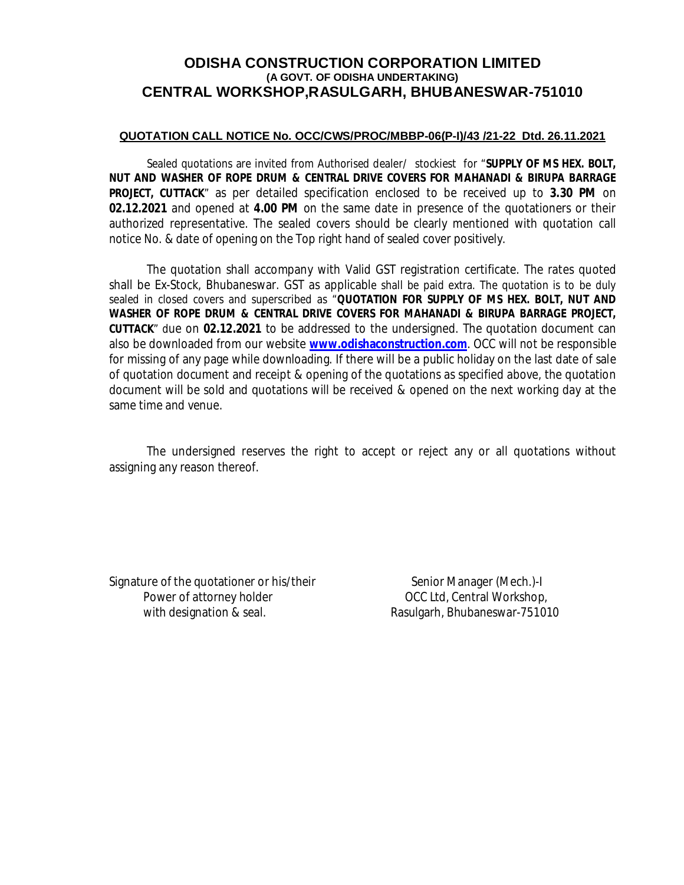# **ODISHA CONSTRUCTION CORPORATION LIMITED (A GOVT. OF ODISHA UNDERTAKING) CENTRAL WORKSHOP,RASULGARH, BHUBANESWAR-751010**

## **QUOTATION CALL NOTICE No. OCC/CWS/PROC/MBBP-06(P-I)/43 /21-22 Dtd. 26.11.2021**

Sealed quotations are invited from Authorised dealer/ stockiest for "**SUPPLY OF MS HEX. BOLT, NUT AND WASHER OF ROPE DRUM & CENTRAL DRIVE COVERS FOR MAHANADI & BIRUPA BARRAGE PROJECT, CUTTACK**" as per detailed specification enclosed to be received up to **3.30 PM** on **02.12.2021** and opened at **4.00 PM** on the same date in presence of the quotationers or their authorized representative. The sealed covers should be clearly mentioned with quotation call notice No. & date of opening on the Top right hand of sealed cover positively.

The quotation shall accompany with Valid GST registration certificate. The rates quoted shall be Ex-Stock, Bhubaneswar. GST as applicable shall be paid extra. The quotation is to be duly sealed in closed covers and superscribed as "**QUOTATION FOR SUPPLY OF MS HEX. BOLT, NUT AND WASHER OF ROPE DRUM & CENTRAL DRIVE COVERS FOR MAHANADI & BIRUPA BARRAGE PROJECT, CUTTACK**" due on **02.12.2021** to be addressed to the undersigned. The quotation document can also be downloaded from our website **www.odishaconstruction.com**. OCC will not be responsible for missing of any page while downloading. If there will be a public holiday on the last date of sale of quotation document and receipt & opening of the quotations as specified above, the quotation document will be sold and quotations will be received & opened on the next working day at the same time and venue.

The undersigned reserves the right to accept or reject any or all quotations without assigning any reason thereof.

Signature of the quotationer or his/their Senior Manager (Mech.)-I Power of attorney holder **DECE 10** OCC Ltd, Central Workshop, with designation & seal. The second section of Rasulgarh, Bhubaneswar-751010